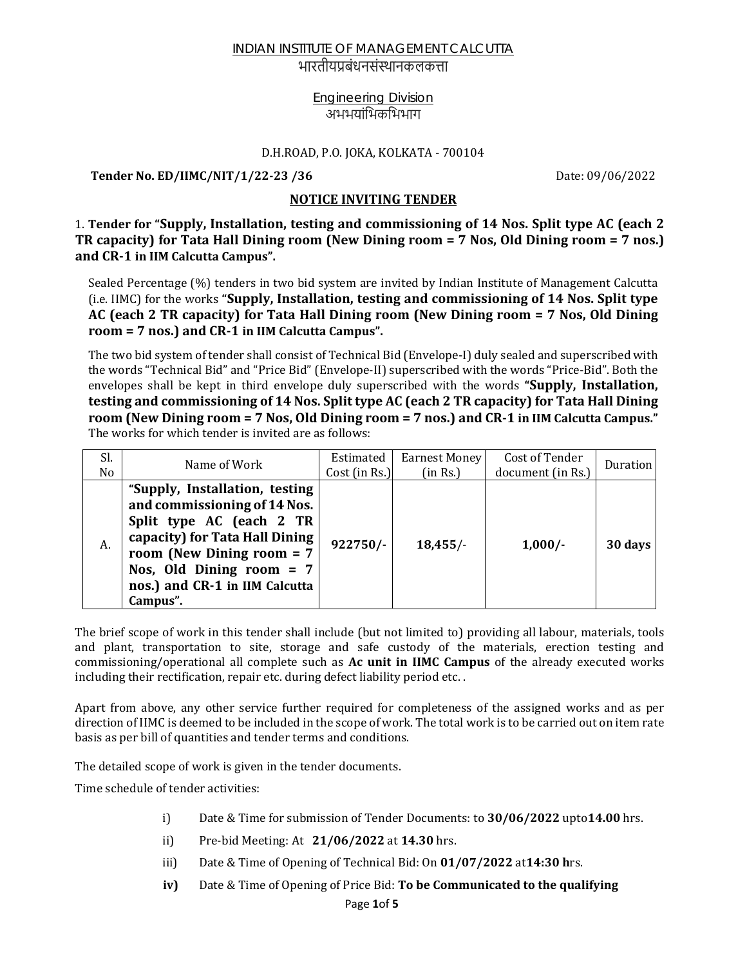भारतीयप्रबंधनसंस्थानकलकत्ता

### Engineering Division अभभयांभिकभिभाग

#### D.H.ROAD, P.O. JOKA, KOLKATA - 700104

**Tender No. ED/IIMC/NIT/1/22‐23 /36** Date: 09/06/2022

### **NOTICE INVITING TENDER**

1. **Tender for "Supply, Installation, testing and commissioning of 14 Nos. Split type AC (each 2 TR capacity) for Tata Hall Dining room (New Dining room = 7 Nos, Old Dining room = 7 nos.) and CR‐1 in IIM Calcutta Campus".**

Sealed Percentage (%) tenders in two bid system are invited by Indian Institute of Management Calcutta (i.e. IIMC) for the works **"Supply, Installation, testing and commissioning of 14 Nos. Split type AC (each 2 TR capacity) for Tata Hall Dining room (New Dining room = 7 Nos, Old Dining room = 7 nos.) and CR‐1 in IIM Calcutta Campus".**

The two bid system of tender shall consist of Technical Bid (Envelope-I) duly sealed and superscribed with the words "Technical Bid" and "Price Bid" (Envelope-II) superscribed with the words "Price-Bid". Both the envelopes shall be kept in third envelope duly superscribed with the words **"Supply, Installation, testing and commissioning of 14 Nos. Split type AC (each 2 TR capacity) for Tata Hall Dining** room (New Dining room = 7 Nos, Old Dining room = 7 nos.) and CR-1 in IIM Calcutta Campus." The works for which tender is invited are as follows:

| Sl.<br>No. | Name of Work                                                                                                                                                                                                                            | Estimated<br>Cost (in Rs.) | Earnest Money<br>(in Rs.) | Cost of Tender<br>document (in Rs.) | Duration |
|------------|-----------------------------------------------------------------------------------------------------------------------------------------------------------------------------------------------------------------------------------------|----------------------------|---------------------------|-------------------------------------|----------|
| А.         | "Supply, Installation, testing<br>and commissioning of 14 Nos.<br>Split type AC (each 2 TR<br>capacity) for Tata Hall Dining<br>room (New Dining room $= 7$<br>Nos, Old Dining room $= 7$<br>nos.) and CR-1 in IIM Calcutta<br>Campus". | $922750/-$                 | 18,455/                   | $1,000/-$                           | 30 days  |

The brief scope of work in this tender shall include (but not limited to) providing all labour, materials, tools and plant, transportation to site, storage and safe custody of the materials, erection testing and commissioning/operational all complete such as **Ac unit in IIMC Campus** of the already executed works including their rectification, repair etc. during defect liability period etc. .

Apart from above, any other service further required for completeness of the assigned works and as per direction of IIMC is deemed to be included in the scope of work. The total work is to be carried out on item rate basis as per bill of quantities and tender terms and conditions.

The detailed scope of work is given in the tender documents.

Time schedule of tender activities:

- i) Date & Time for submission of Tender Documents: to **30/06/2022** upto**14.00** hrs.
- ii) Pre-bid Meeting: At **21/06/2022** at **14.30** hrs.
- iii) Date & Time of Opening of Technical Bid: On **01/07/2022** at**14:30 h**rs.
- **iv)** Date & Time of Opening of Price Bid: **To be Communicated to the qualifying**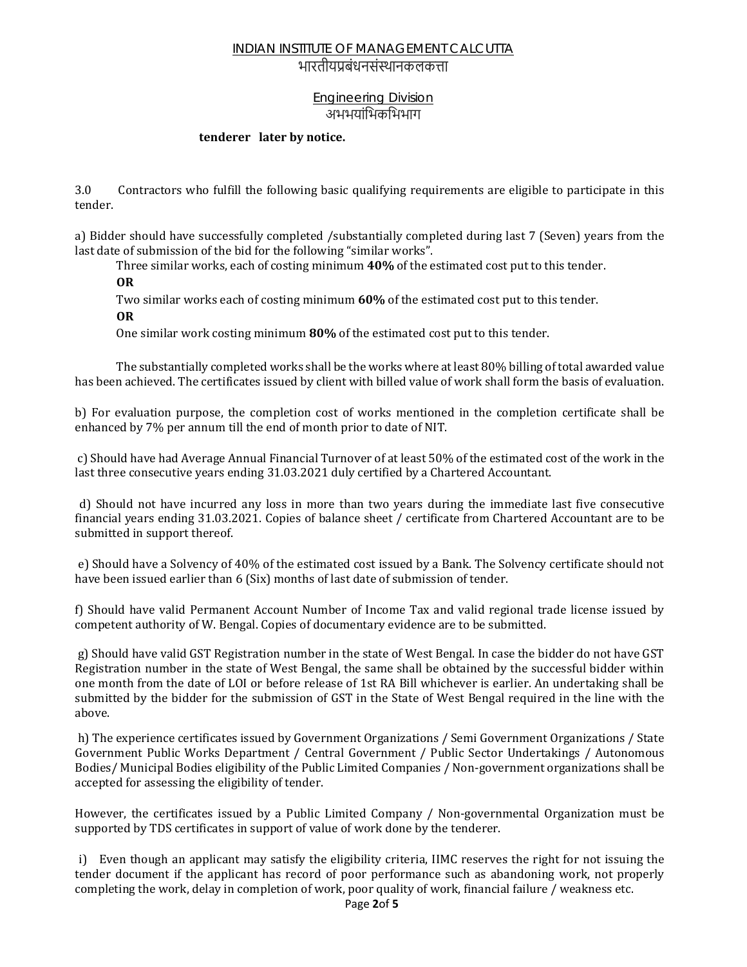### भारतीयप्रबंधनसंस्थानकलकत्ता

## Engineering Division अभभयांिभकिभभाग

#### **tenderer later by notice.**

3.0Contractors who fulfill the following basic qualifying requirements are eligible to participate in this tender.

a) Bidder should have successfully completed /substantially completed during last 7 (Seven) years from the last date of submission of the bid for the following "similar works".

Three similar works, each of costing minimum **40%** of the estimated cost put to this tender.

**OR**

Two similar works each of costing minimum **60%** of the estimated cost put to this tender.

**OR**

One similar work costing minimum **80%** of the estimated cost put to this tender.

 The substantially completed works shall be the works where at least 80% billing of total awarded value has been achieved. The certificates issued by client with billed value of work shall form the basis of evaluation.

b) For evaluation purpose, the completion cost of works mentioned in the completion certificate shall be enhanced by 7% per annum till the end of month prior to date of NIT.

 c) Should have had Average Annual Financial Turnover of at least 50% of the estimated cost of the work in the last three consecutive years ending 31.03.2021 duly certified by a Chartered Accountant.

 d) Should not have incurred any loss in more than two years during the immediate last five consecutive financial years ending 31.03.2021. Copies of balance sheet / certificate from Chartered Accountant are to be submitted in support thereof.

 e) Should have a Solvency of 40% of the estimated cost issued by a Bank. The Solvency certificate should not have been issued earlier than 6 (Six) months of last date of submission of tender.

f) Should have valid Permanent Account Number of Income Tax and valid regional trade license issued by competent authority of W. Bengal. Copies of documentary evidence are to be submitted.

 g) Should have valid GST Registration number in the state of West Bengal. In case the bidder do not have GST Registration number in the state of West Bengal, the same shall be obtained by the successful bidder within one month from the date of LOI or before release of 1st RA Bill whichever is earlier. An undertaking shall be submitted by the bidder for the submission of GST in the State of West Bengal required in the line with the above.

 h) The experience certificates issued by Government Organizations / Semi Government Organizations / State Government Public Works Department / Central Government / Public Sector Undertakings / Autonomous Bodies/ Municipal Bodies eligibility of the Public Limited Companies / Non-government organizations shall be accepted for assessing the eligibility of tender.

However, the certificates issued by a Public Limited Company / Non-governmental Organization must be supported by TDS certificates in support of value of work done by the tenderer.

 i) Even though an applicant may satisfy the eligibility criteria, IIMC reserves the right for not issuing the tender document if the applicant has record of poor performance such as abandoning work, not properly completing the work, delay in completion of work, poor quality of work, financial failure / weakness etc.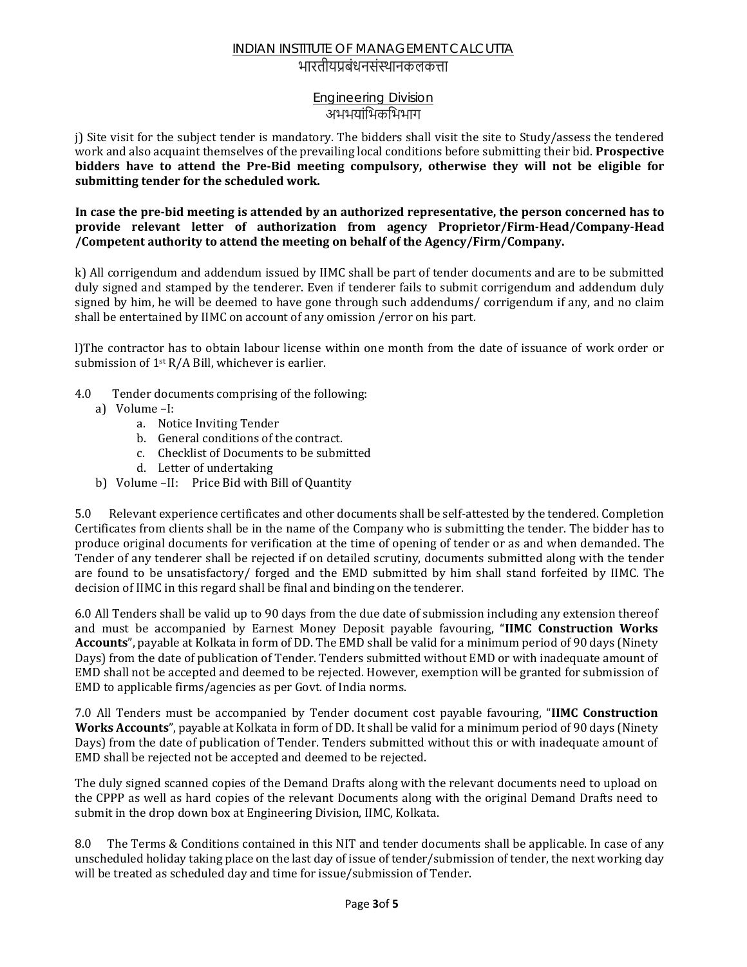## भारतीयप्रबंधनसंस्थानकलकत्ता

### Engineering Division अभभयांिभकिभभाग

j) Site visit for the subject tender is mandatory. The bidders shall visit the site to Study/assess the tendered work and also acquaint themselves of the prevailing local conditions before submitting their bid. **Prospective bidders have to attend the Pre‐Bid meeting compulsory, otherwise they will not be eligible for submitting tender for the scheduled work.**

In case the pre-bid meeting is attended by an authorized representative, the person concerned has to **provide relevant letter of authorization from agency Proprietor/Firm‐Head/Company‐Head /Competent authority to attend the meeting on behalf of the Agency/Firm/Company.**

k) All corrigendum and addendum issued by IIMC shall be part of tender documents and are to be submitted duly signed and stamped by the tenderer. Even if tenderer fails to submit corrigendum and addendum duly signed by him, he will be deemed to have gone through such addendums/ corrigendum if any, and no claim shall be entertained by IIMC on account of any omission /error on his part.

l)The contractor has to obtain labour license within one month from the date of issuance of work order or submission of  $1$ <sup>st</sup> R/A Bill, whichever is earlier.

- 4.0 Tender documents comprising of the following:
	- a) Volume –I:
		- a. Notice Inviting Tender
		- b. General conditions of the contract.
		- c. Checklist of Documents to be submitted
		- d. Letter of undertaking
	- b) Volume –II: Price Bid with Bill of Quantity

5.0 Relevant experience certificates and other documents shall be self-attested by the tendered. Completion Certificates from clients shall be in the name of the Company who is submitting the tender. The bidder has to produce original documents for verification at the time of opening of tender or as and when demanded. The Tender of any tenderer shall be rejected if on detailed scrutiny, documents submitted along with the tender are found to be unsatisfactory/ forged and the EMD submitted by him shall stand forfeited by IIMC. The decision of IIMC in this regard shall be final and binding on the tenderer.

6.0 All Tenders shall be valid up to 90 days from the due date of submission including any extension thereof and must be accompanied by Earnest Money Deposit payable favouring, "**IIMC Construction Works Accounts**", payable at Kolkata in form of DD. The EMD shall be valid for a minimum period of 90 days (Ninety Days) from the date of publication of Tender. Tenders submitted without EMD or with inadequate amount of EMD shall not be accepted and deemed to be rejected. However, exemption will be granted for submission of EMD to applicable firms/agencies as per Govt. of India norms.

7.0 All Tenders must be accompanied by Tender document cost payable favouring, "**IIMC Construction Works Accounts**", payable at Kolkata in form of DD. It shall be valid for a minimum period of 90 days (Ninety Days) from the date of publication of Tender. Tenders submitted without this or with inadequate amount of EMD shall be rejected not be accepted and deemed to be rejected.

The duly signed scanned copies of the Demand Drafts along with the relevant documents need to upload on the CPPP as well as hard copies of the relevant Documents along with the original Demand Drafts need to submit in the drop down box at Engineering Division, IIMC, Kolkata.

8.0 The Terms & Conditions contained in this NIT and tender documents shall be applicable. In case of any unscheduled holiday taking place on the last day of issue of tender/submission of tender, the next working day will be treated as scheduled day and time for issue/submission of Tender.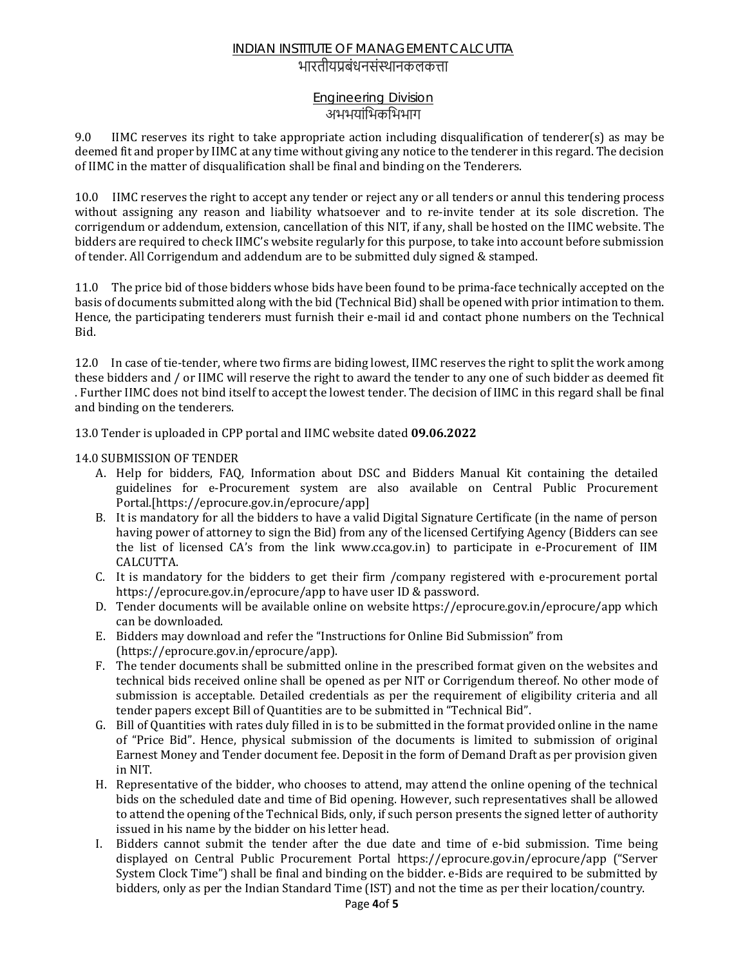## भारतीयप्रबंधनसंस्थानकलकत्ता

### Engineering Division अभभयांिभकिभभाग

9.0 IIMC reserves its right to take appropriate action including disqualification of tenderer(s) as may be deemed fit and proper by IIMC at any time without giving any notice to the tenderer in this regard. The decision of IIMC in the matter of disqualification shall be final and binding on the Tenderers.

10.0IIMC reserves the right to accept any tender or reject any or all tenders or annul this tendering process without assigning any reason and liability whatsoever and to re-invite tender at its sole discretion. The corrigendum or addendum, extension, cancellation of this NIT, if any, shall be hosted on the IIMC website. The bidders are required to check IIMC's website regularly for this purpose, to take into account before submission of tender. All Corrigendum and addendum are to be submitted duly signed & stamped.

11.0The price bid of those bidders whose bids have been found to be prima-face technically accepted on the basis of documents submitted along with the bid (Technical Bid) shall be opened with prior intimation to them. Hence, the participating tenderers must furnish their e-mail id and contact phone numbers on the Technical Bid.

12.0 In case of tie-tender, where two firms are biding lowest, IIMC reserves the right to split the work among these bidders and / or IIMC will reserve the right to award the tender to any one of such bidder as deemed fit . Further IIMC does not bind itself to accept the lowest tender. The decision of IIMC in this regard shall be final and binding on the tenderers.

13.0 Tender is uploaded in CPP portal and IIMC website dated **09.06.2022**

#### 14.0 SUBMISSION OF TENDER

- A. Help for bidders, FAQ, Information about DSC and Bidders Manual Kit containing the detailed guidelines for e-Procurement system are also available on Central Public Procurement Portal.[https://eprocure.gov.in/eprocure/app]
- B. It is mandatory for all the bidders to have a valid Digital Signature Certificate (in the name of person having power of attorney to sign the Bid) from any of the licensed Certifying Agency (Bidders can see the list of licensed CA's from the link www.cca.gov.in) to participate in e-Procurement of IIM CALCUTTA.
- C. It is mandatory for the bidders to get their firm /company registered with e-procurement portal https://eprocure.gov.in/eprocure/app to have user ID & password.
- D. Tender documents will be available online on website https://eprocure.gov.in/eprocure/app which can be downloaded.
- E. Bidders may download and refer the "Instructions for Online Bid Submission" from (https://eprocure.gov.in/eprocure/app).
- F. The tender documents shall be submitted online in the prescribed format given on the websites and technical bids received online shall be opened as per NIT or Corrigendum thereof. No other mode of submission is acceptable. Detailed credentials as per the requirement of eligibility criteria and all tender papers except Bill of Quantities are to be submitted in "Technical Bid".
- G. Bill of Quantities with rates duly filled in is to be submitted in the format provided online in the name of "Price Bid". Hence, physical submission of the documents is limited to submission of original Earnest Money and Tender document fee. Deposit in the form of Demand Draft as per provision given in NIT.
- H. Representative of the bidder, who chooses to attend, may attend the online opening of the technical bids on the scheduled date and time of Bid opening. However, such representatives shall be allowed to attend the opening of the Technical Bids, only, if such person presents the signed letter of authority issued in his name by the bidder on his letter head.
- I. Bidders cannot submit the tender after the due date and time of e-bid submission. Time being displayed on Central Public Procurement Portal https://eprocure.gov.in/eprocure/app ("Server System Clock Time") shall be final and binding on the bidder. e-Bids are required to be submitted by bidders, only as per the Indian Standard Time (IST) and not the time as per their location/country.